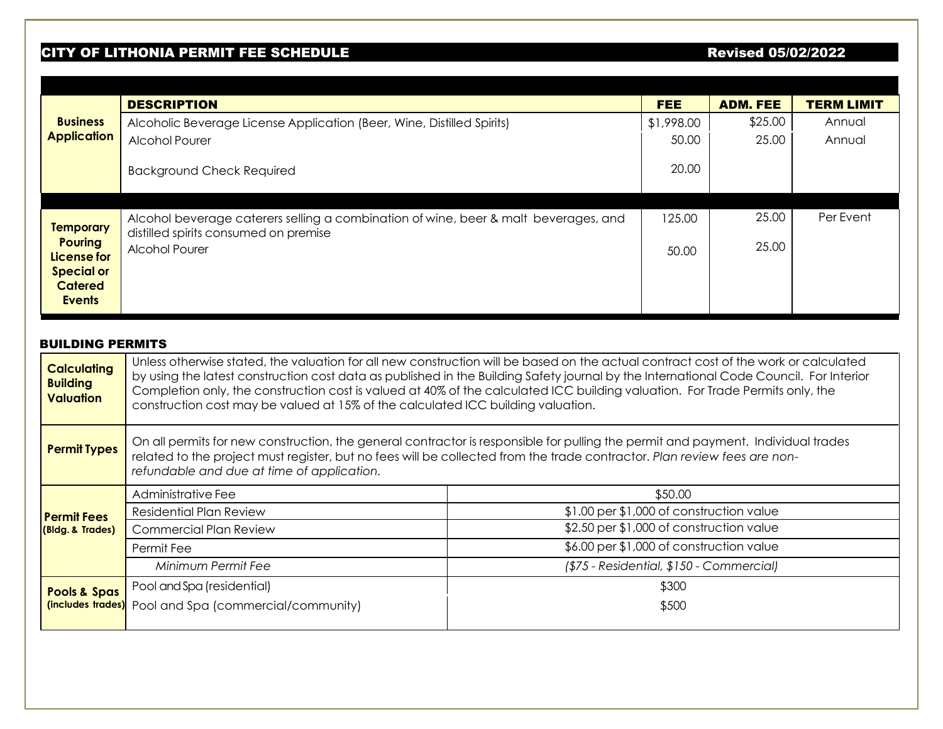## CITY OF LITHONIA PERMIT FEE SCHEDULE **External states and the contract of the CITY** of Lithonia and Revised 05/02/2022

|                                    | <b>DESCRIPTION</b>                                                                                                                                                                                                |         | <b>FEE</b>                               | <b>ADM. FEE</b>                          | <b>TERM LIMIT</b> |  |  |  |
|------------------------------------|-------------------------------------------------------------------------------------------------------------------------------------------------------------------------------------------------------------------|---------|------------------------------------------|------------------------------------------|-------------------|--|--|--|
| <b>Business</b>                    | Alcoholic Beverage License Application (Beer, Wine, Distilled Spirits)                                                                                                                                            |         | \$1,998.00                               | \$25.00                                  | Annual            |  |  |  |
| <b>Application</b>                 | <b>Alcohol Pourer</b>                                                                                                                                                                                             |         | 50.00                                    | 25.00                                    | Annual            |  |  |  |
|                                    |                                                                                                                                                                                                                   |         |                                          |                                          |                   |  |  |  |
|                                    | <b>Background Check Required</b>                                                                                                                                                                                  |         | 20.00                                    |                                          |                   |  |  |  |
|                                    |                                                                                                                                                                                                                   |         |                                          |                                          |                   |  |  |  |
|                                    | Alcohol beverage caterers selling a combination of wine, beer & malt beverages, and                                                                                                                               |         | 125.00                                   | 25.00                                    | Per Event         |  |  |  |
| <b>Temporary</b><br><b>Pouring</b> | distilled spirits consumed on premise                                                                                                                                                                             |         |                                          |                                          |                   |  |  |  |
| License for                        | Alcohol Pourer                                                                                                                                                                                                    |         | 50.00                                    | 25.00                                    |                   |  |  |  |
| <b>Special or</b>                  |                                                                                                                                                                                                                   |         |                                          |                                          |                   |  |  |  |
| <b>Catered</b>                     |                                                                                                                                                                                                                   |         |                                          |                                          |                   |  |  |  |
| <b>Events</b>                      |                                                                                                                                                                                                                   |         |                                          |                                          |                   |  |  |  |
|                                    |                                                                                                                                                                                                                   |         |                                          |                                          |                   |  |  |  |
| <b>BUILDING PERMITS</b>            |                                                                                                                                                                                                                   |         |                                          |                                          |                   |  |  |  |
| <b>Calculating</b>                 | Unless otherwise stated, the valuation for all new construction will be based on the actual contract cost of the work or calculated                                                                               |         |                                          |                                          |                   |  |  |  |
| <b>Building</b>                    | by using the latest construction cost data as published in the Building Safety journal by the International Code Council. For Interior                                                                            |         |                                          |                                          |                   |  |  |  |
| <b>Valuation</b>                   | Completion only, the construction cost is valued at 40% of the calculated ICC building valuation. For Trade Permits only, the<br>construction cost may be valued at 15% of the calculated ICC building valuation. |         |                                          |                                          |                   |  |  |  |
|                                    |                                                                                                                                                                                                                   |         |                                          |                                          |                   |  |  |  |
|                                    | On all permits for new construction, the general contractor is responsible for pulling the permit and payment. Individual trades                                                                                  |         |                                          |                                          |                   |  |  |  |
| <b>Permit Types</b>                | related to the project must register, but no fees will be collected from the trade contractor. Plan review fees are non-                                                                                          |         |                                          |                                          |                   |  |  |  |
|                                    | refundable and due at time of application.                                                                                                                                                                        |         |                                          |                                          |                   |  |  |  |
|                                    | Administrative Fee                                                                                                                                                                                                | \$50.00 |                                          |                                          |                   |  |  |  |
| <b>Permit Fees</b>                 | <b>Residential Plan Review</b>                                                                                                                                                                                    |         |                                          | \$1.00 per \$1,000 of construction value |                   |  |  |  |
| (Bldg. & Trades)                   | <b>Commercial Plan Review</b>                                                                                                                                                                                     |         | \$2.50 per \$1,000 of construction value |                                          |                   |  |  |  |
|                                    | Permit Fee                                                                                                                                                                                                        |         |                                          | \$6.00 per \$1,000 of construction value |                   |  |  |  |
|                                    | Minimum Permit Fee<br>(\$75 - Residential, \$150 - Commercial)                                                                                                                                                    |         |                                          |                                          |                   |  |  |  |
| <b>Pools &amp; Spas</b>            | Pool and Spa (residential)                                                                                                                                                                                        |         | \$300                                    |                                          |                   |  |  |  |
| (includes trades)                  | Pool and Spa (commercial/community)                                                                                                                                                                               |         | \$500                                    |                                          |                   |  |  |  |
|                                    |                                                                                                                                                                                                                   |         |                                          |                                          |                   |  |  |  |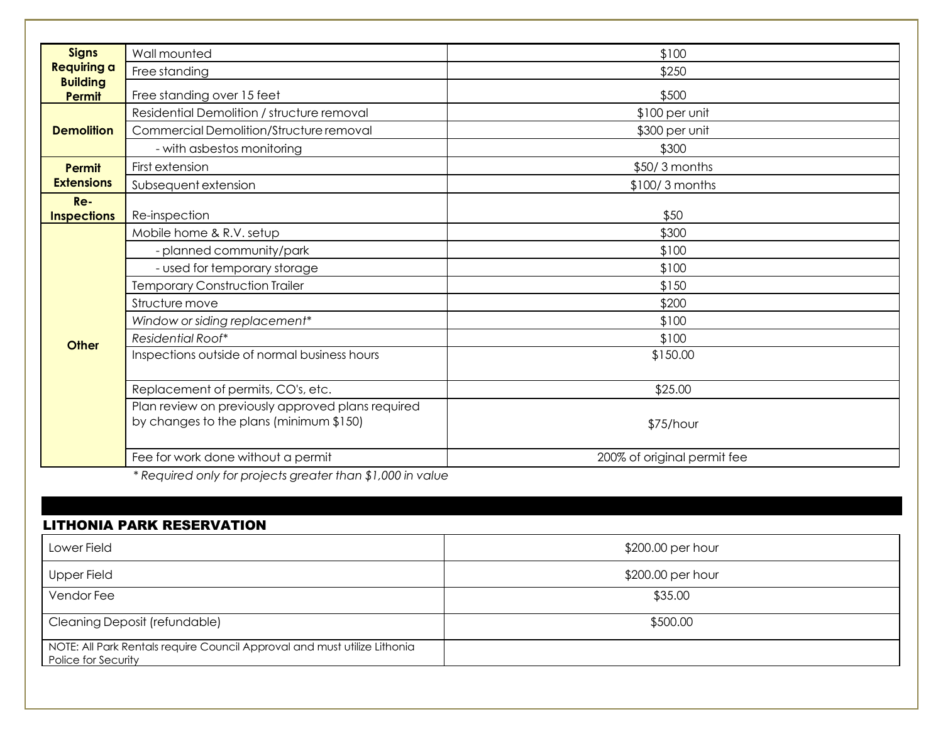| <b>Signs</b>                     | Wall mounted                                                                                 | \$100                       |
|----------------------------------|----------------------------------------------------------------------------------------------|-----------------------------|
| <b>Requiring a</b>               | Free standing                                                                                | \$250                       |
| <b>Building</b><br><b>Permit</b> | Free standing over 15 feet                                                                   | \$500                       |
| <b>Demolition</b>                | Residential Demolition / structure removal                                                   | \$100 per unit              |
|                                  | Commercial Demolition/Structure removal                                                      | \$300 per unit              |
|                                  | - with asbestos monitoring                                                                   | \$300                       |
| <b>Permit</b>                    | First extension                                                                              | \$50/3 months               |
| <b>Extensions</b>                | Subsequent extension                                                                         | \$100/3 months              |
| $Re-$                            |                                                                                              |                             |
| <b>Inspections</b>               | Re-inspection                                                                                | \$50                        |
|                                  | Mobile home & R.V. setup                                                                     | \$300                       |
|                                  | - planned community/park                                                                     | \$100                       |
|                                  | - used for temporary storage                                                                 | \$100                       |
|                                  | <b>Temporary Construction Trailer</b>                                                        | \$150                       |
|                                  | Structure move                                                                               | \$200                       |
| <b>Other</b>                     | Window or siding replacement*                                                                | \$100                       |
|                                  | Residential Roof*                                                                            | \$100                       |
|                                  | Inspections outside of normal business hours                                                 | \$150.00                    |
|                                  | Replacement of permits, CO's, etc.                                                           | \$25.00                     |
|                                  | Plan review on previously approved plans required<br>by changes to the plans (minimum \$150) | \$75/hour                   |
|                                  | Fee for work done without a permit                                                           | 200% of original permit fee |

*\* Required only for projects greater than \$1,000 in value*

## LITHONIA PARK RESERVATION

| Lower Field                                                                                      | \$200.00 per hour |
|--------------------------------------------------------------------------------------------------|-------------------|
| Upper Field                                                                                      | \$200.00 per hour |
| Vendor Fee                                                                                       | \$35.00           |
| Cleaning Deposit (refundable)                                                                    | \$500.00          |
| NOTE: All Park Rentals require Council Approval and must utilize Lithonia<br>Police for Security |                   |